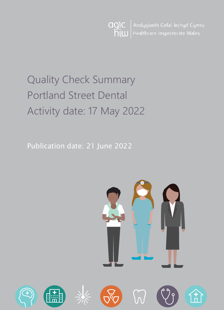Arolygiaeth Gofal Iechyd Cymru agic  $\frac{1}{2}$ Healthcare Inspectorate Wales

# Quality Check Summary Portland Street Dental Activity date: 17 May 2022

Publication date: 21 June 2022

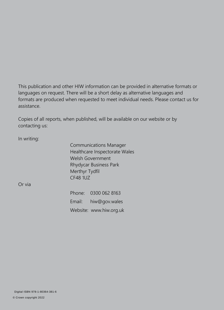This publication and other HIW information can be provided in alternative formats or languages on request. There will be a short delay as alternative languages and formats are produced when requested to meet individual needs. Please contact us for assistance.

Copies of all reports, when published, will be available on our website or by contacting us:

In writing:

Communications Manager Healthcare Inspectorate Wales Welsh Government Rhydycar Business Park Merthyr Tydfil CF48 1UZ

Or via

Phone: 0300 062 8163 Email: [hiw@gov.wales](mailto:hiw@gov.wales) Website: [www.hiw.org.uk](http://www.hiw.org.uk/)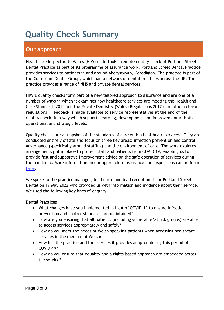# **Quality Check Summary**

# **Our approach**

Healthcare Inspectorate Wales (HIW) undertook a remote quality check of Portland Street Dental Practice as part of its programme of assurance work. Portland Street Dental Practice provides services to patients in and around Aberystwyth, Ceredigion. The practice is part of the Colosseum Dental Group, which had a network of dental practices across the UK. The practice provides a range of NHS and private dental services.

HIW's quality checks form part of a new tailored approach to assurance and are one of a number of ways in which it examines how healthcare services are meeting the Health and Care Standards 2015 and the Private Dentistry (Wales) Regulations 2017 (and other relevant regulations). Feedback is made available to service representatives at the end of the quality check, in a way which supports learning, development and improvement at both operational and strategic levels.

Quality checks are a snapshot of the standards of care within healthcare services. They are conducted entirely offsite and focus on three key areas: infection prevention and control, governance (specifically around staffing) and the environment of care. The work explores arrangements put in place to protect staff and patients from COVID 19, enabling us to provide fast and supportive improvement advice on the safe operation of services during the pandemic. More information on our approach to assurance and inspections can be found [here.](https://hiw.org.uk/covid-19-response-and-our-approach-assurance-and-inspection)

We spoke to the practice manager, lead nurse and lead receptionist for Portland Street Dental on 17 May 2022 who provided us with information and evidence about their service. We used the following key lines of enquiry:

Dental Practices

- What changes have you implemented in light of COVID-19 to ensure infection prevention and control standards are maintained?
- How are you ensuring that all patients (including vulnerable/at risk groups) are able to access services appropriately and safely?
- How do you meet the needs of Welsh speaking patients when accessing healthcare services in the medium of Welsh?
- How has the practice and the services it provides adapted during this period of COVID-19?
- How do you ensure that equality and a rights-based approach are embedded across the service?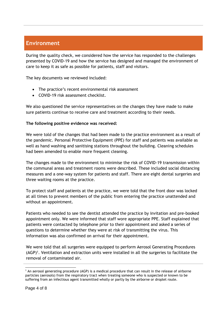## **Environment**

During the quality check, we considered how the service has responded to the challenges presented by COVID-19 and how the service has designed and managed the environment of care to keep it as safe as possible for patients, staff and visitors.

The key documents we reviewed included:

- The practice's recent environmental risk assessment
- COVID-19 risk assessment checklist.

We also questioned the service representatives on the changes they have made to make sure patients continue to receive care and treatment according to their needs.

#### **The following positive evidence was received:**

We were told of the changes that had been made to the practice environment as a result of the pandemic. Personal Protective Equipment (PPE) for staff and patients was available as well as hand washing and sanitising stations throughout the building. Cleaning schedules had been amended to enable more frequent cleaning.

The changes made to the environment to minimise the risk of COVID-19 transmission within the communal areas and treatment rooms were described. These included social distancing measures and a one-way system for patients and staff. There are eight dental surgeries and three waiting rooms at the practice.

To protect staff and patients at the practice, we were told that the front door was locked at all times to prevent members of the public from entering the practice unattended and without an appointment.

Patients who needed to see the dentist attended the practice by invitation and pre-booked appointment only. We were informed that staff wore appropriate PPE. Staff explained that patients were contacted by telephone prior to their appointment and asked a series of questions to determine whether they were at risk of transmitting the virus. This information was also confirmed on arrival for their appointment.

We were told that all surgeries were equipped to perform Aerosol Generating Procedures (AGP)<sup>1</sup>. Ventilation and extraction units were installed in all the surgeries to facilitate the removal of contaminated air.

 $1$  An aerosol generating procedure (AGP) is a medical procedure that can result in the release of airborne particles (aerosols) from the respiratory tract when treating someone who is suspected or known to be suffering from an infectious agent transmitted wholly or partly by the airborne or droplet route.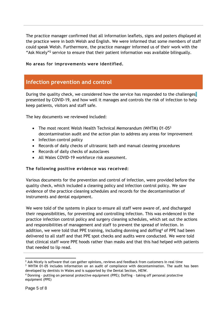The practice manager confirmed that all information leaflets, signs and posters displayed at the practice were in both Welsh and English. We were informed that some members of staff could speak Welsh. Furthermore, the practice manager informed us of their work with the "Ask Nicely"<sup>2</sup> service to ensure that their patient information was available bilingually.

**No areas for improvements were identified.**

### **Infection prevention and control**

During the quality check, we considered how the service has responded to the challenges presented by COVID-19, and how well it manages and controls the risk of infection to help keep patients, visitors and staff safe.

The key documents we reviewed included:

- The most recent Welsh Health Technical Memorandum (WHTM)  $01-05<sup>3</sup>$ decontamination audit and the action plan to address any areas for improvement
- Infection control policy
- Records of daily checks of ultrasonic bath and manual cleaning procedures
- Records of daily checks of autoclaves
- All Wales COVID-19 workforce risk assessment.

#### **The following positive evidence was received:**

Various documents for the prevention and control of infection, were provided before the quality check, which included a cleaning policy and infection control policy. We saw evidence of the practice cleaning schedules and records for the decontamination of instruments and dental equipment.

We were told of the systems in place to ensure all staff were aware of, and discharged their responsibilities, for preventing and controlling infection. This was evidenced in the practice infection control policy and surgery cleaning schedules, which set out the actions and responsibilities of management and staff to prevent the spread of infection. In addition, we were told that PPE training, including donning and doffing<sup>4</sup> of PPE had been delivered to all staff and that PPE spot checks and audits were conducted. We were told that clinical staff wore PPE hoods rather than masks and that this had helped with patients that needed to lip read.

 $3$  WHTM 01-05 includes information on an audit of compliance with decontamination. The audit has been developed by dentists in Wales and is supported by the Dental Section, HEIW.

 $2$  Ask Nicely is software that can gather opinions, reviews and feedback from customers in real time

<sup>4</sup> Donning – putting on personal protective equipment (PPE); Doffing – taking off personal protective equipment (PPE)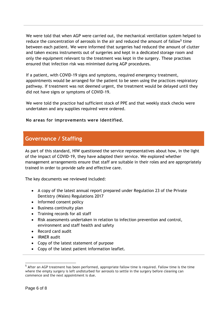We were told that when AGP were carried out, the mechanical ventilation system helped to reduce the concentration of aerosols in the air and reduced the amount of fallow<sup>5</sup> time between each patient. We were informed that surgeries had reduced the amount of clutter and taken excess instruments out of surgeries and kept in a dedicated storage room and only the equipment relevant to the treatment was kept in the surgery. These practises ensured that infection risk was minimised during AGP procedures.

If a patient, with COVID-19 signs and symptoms, required emergency treatment, appointments would be arranged for the patient to be seen using the practices respiratory pathway. If treatment was not deemed urgent, the treatment would be delayed until they did not have signs or symptoms of COVID-19.

We were told the practice had sufficient stock of PPE and that weekly stock checks were undertaken and any supplies required were ordered.

#### **No areas for improvements were identified.**

### **Governance / Staffing**

As part of this standard, HIW questioned the service representatives about how, in the light of the impact of COVID-19, they have adapted their service. We explored whether management arrangements ensure that staff are suitable in their roles and are appropriately trained in order to provide safe and effective care.

The key documents we reviewed included:

- A copy of the latest annual report prepared under Regulation 23 of the Private Dentistry (Wales) Regulations 2017
- Informed consent policy
- Business continuity plan
- Training records for all staff
- Risk assessments undertaken in relation to infection prevention and control, environment and staff health and safety
- Record card audit
- IRMER audit
- Copy of the latest statement of purpose
- Copy of the latest patient information leaflet.

<sup>&</sup>lt;sup>5</sup> After an AGP treatment has been performed, appropriate fallow time is required. Fallow time is the time where the empty surgery is left undisturbed for aerosols to settle in the surgery before cleaning can commence and the next appointment is due.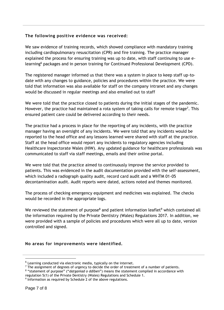#### **The following positive evidence was received:**

We saw evidence of training records, which showed compliance with mandatory training including cardiopulmonary resuscitation (CPR) and fire training. The practice manager explained the process for ensuring training was up to date, with staff continuing to use elearning<sup>6</sup> packages and in person training for Continued Professional Development (CPD).

The registered manager informed us that there was a system in place to keep staff up-todate with any changes to guidance, policies and procedures within the practice. We were told that information was also available for staff on the company intranet and any changes would be discussed in regular meetings and also emailed out to staff

We were told that the practice closed to patients during the initial stages of the pandemic. However, the practice had maintained a rota system of taking calls for remote triage<sup>7</sup>. This ensured patient care could be delivered according to their needs.

The practice had a process in place for the reporting of any incidents, with the practice manager having an oversight of any incidents. We were told that any incidents would be reported to the head office and any lessons learned were shared with staff at the practice. Staff at the head office would report any incidents to regulatory agencies including Healthcare Inspectorate Wales (HIW). Any updated guidance for healthcare professionals was communicated to staff via staff meetings, emails and their online portal.

We were told that the practice aimed to continuously improve the service provided to patients. This was evidenced in the audit documentation provided with the self-assessment, which included a radiograph quality audit, record card audit and a WHTM 01-05 decontamination audit. Audit reports were dated, actions noted and themes monitored.

The process of checking emergency equipment and medicines was explained. The checks would be recorded in the appropriate logs.

We reviewed the statement of purpose<sup>8</sup> and patient information leaflet<sup>9</sup> which contained all the information required by the Private Dentistry (Wales) Regulations 2017. In addition, we were provided with a sample of policies and procedures which were all up to date, version controlled and signed.

#### **No areas for improvements were identified.**

 $^6$  Learning conducted via electronic media, typically on the internet.

 $<sup>7</sup>$  The assignment of degrees of urgency to decide the order of treatment of a number of patients.</sup>

<sup>8</sup> "statement of purpose" ("*datganiad o ddiben*") means the statement compiled in accordance with regulation 5(1) of the Private Dentistry (Wales) Regulations and Schedule 1.

<sup>&</sup>lt;sup>9</sup> Information as required by Schedule 2 of the above regulations.